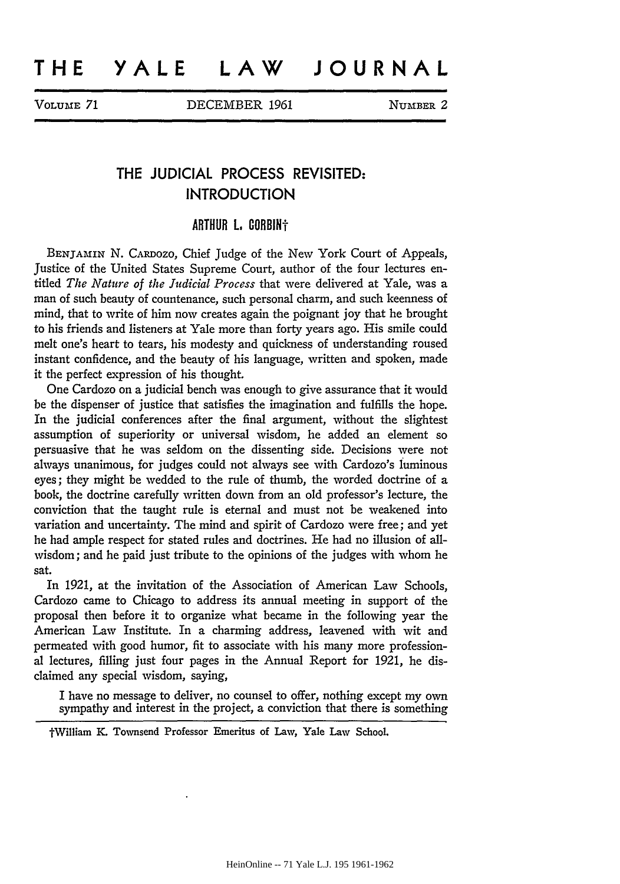## **THE YALE LAW JOURNAL THE YALE LAW JOURNAL**

VOLUME 71

VOLUME **71** DECEMBER **1961 NUMBER** 2 DECEMBER 1961

NUMBER 2

## THE **JUDICIAL PROCESS** REVISITED: **INTRODUCTION INTRODUCTION THE JUDICIAL PROCESS REVISITED:**

## **ARTHUR L, CORBINt ARTHUR L. CORBINt**

BENJAMIN **N.** CARDOZO, Chief Judge of the New York Court of Appeals, BENJAMIN N. CARDOZO, Chief Judge of the New York Court of Appeals, Justice of the United States Supreme Court, author of the four lectures en-Justice of the United States Supreme Court, author of the four lectures entitled *The Nature of the Judicial Process* that were delivered at Yale, was a titled *The Nature of the Judicial Process* that were delivered at Yale, was a man of such beauty of countenance, such personal charm, and such keenness of man of such beauty of countenance, such personal charm, and such keenness of mind, that to write of him now creates again the poignant joy that he brought mind, that to write of him now creates again the poignant joy that he brought to his friends and listeners at Yale more than forty years ago. His smile could to his friends and listeners at Yale more than forty years ago. His smile could melt one's heart to tears, his modesty and quickness of understanding roused melt one's heart to tears, his modesty and quickness of understanding roused instant confidence, and the beauty of his language, written and spoken, made instant confidence, and the beauty of his language, written and spoken, made it the perfect expression of his thought. it the perfect expression of his thought.

One Cardozo on a judicial bench was enough to give assurance that it would One Cardozo on a judicial bench was enough to give assurance that it would<br>be the dispenser of justice that satisfies the imagination and fulfills the hope. In the judicial conferences after the final argument, without the slightest In the judicial conferences after the final argument, without the slightest assumption of superiority or universal wisdom, he added an element so assumption of superiority or universal wisdom, he added an element persuasive that he was seldom on the dissenting side. Decisions were not persuasive that he was seldom on the dissenting side. Decisions were not always unanimous, for judges could not always see with Cardozo's luminous always unanimous, for judges could not always see with Cardozo's iuminous eyes; they might be wedded to the rule of thumb, the worded doctrine of a eyes; they might be wedded to the rule of thumb, the worded doctrine of a book, the doctrine carefully written down from an old professor's lecture, the book, the doctrine carefully written down from an old professor's lecture, the conviction that the taught rule is eternal and must not be weakened into conviction that the taught rule is eternal and must not be weakened into<br>variation and uncertainty. The mind and spirit of Cardozo were free; and yet he had ample respect for stated rules and doctrines. He had no illusion of all-he had ample respect for stated rules and doctrines. He had no illusion of allwisdom; and he paid just tribute to the opinions of the judges with whom he wisdom; and he paid just tribute to the opinions of the judges with whom sat. sat.

In 1921, at the invitation of the Association of American Law Schools, In 1921, at the invitation of the Association of American Law Schools, Cardozo came to Chicago to address its annual meeting in support of the proposal then before it to organize what became in the following year the Cardozo came to Chicago to address its annual meeting in support of theproposal then before it to organize what became in the following year the American Law Institute. In a charming address, leavened with wit and American Law Institute. In a charming address, leavened with wit and permeated with good humor, fit to associate with his many more profession-permeated with good humor, fit to associate with his many more professional lectures, filling just four pages in the Annual Report for 1921, he dis-al lectures, filling just four pages in the Annual Report for 1921, he disclaimed any special wisdom, saying,

claimed any special wisdom, saying,<br>I have no message to deliver, no counsel to offer, nothing except my own sympathy and interest in the project, a conviction that there is something sympathy and interest in the project, a conviction that there is something

tWilliam K. Townsend Professor Emeritus of Law, Yale Law School. tWiltiam K. Townsend Professor Emeritus of Law, Yale Law School.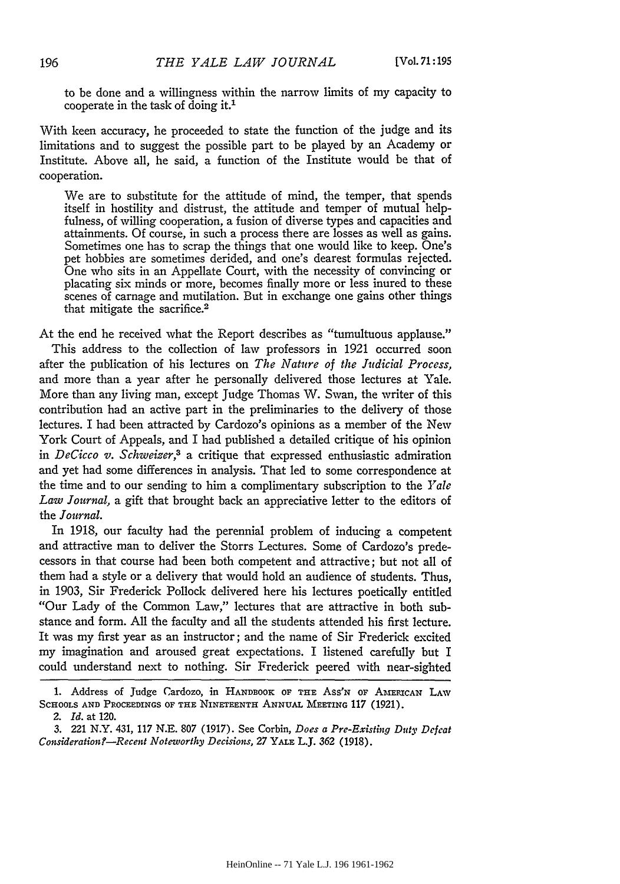196 *THE YALE LAW JOURNAL* [Vol. 71:195to be done and a willingness within the narrow limits of my capacity to cooperate in the task of doing it.<sup>1</sup>

With keen accuracy, he proceeded to state the function of the judge and its With keen accuracy, he proceeded to state the function of the judge and limitations and to suggest the possible part to be played by an Academy or limitations and to suggest the possible part to be played by an Academy or Institute. Above all, he said, a function of the Institute would be that of cooperation. cooperation.

We are to substitute for the attitude of mind, the temper, that spends We are to substitute for the attitude of mind, the temper, that spends itself in hostility and distrust, the attitude and temper of mutual helpfulness, of willing cooperation, a fusion of diverse types and capacities and fulness, of willing cooperation, a fusion of diverse types and capacities and attainments. Of course, in such a process there are losses as well as gains. attainments. Of course, in such a process there are losses as well as gains. Sometimes one has to scrap the things that one would like to keep. One's Sometimes one has to scrap the things that one would like to keep. One's pet hobbies are sometimes derided, and one's dearest formulas rejected. pet hobbies are sometimes derided, and one's dearest formulas rejected. One who sits in an Appellate Court, with the necessity of convincing or One who sits in an Appellate Court, with the necessity of convincing or placating six minds or more, becomes finally more or less inured to these placating six minds or more, becomes finally more or less inured to these scenes of carnage and mutilation. But in exchange one gains other things scenes of carnage and mutilation. But in exchange one gains other seemes of earinge and much

At the end he received what the Report describes as "tumultuous applause." At the end he received what the Report describes as "tumultuous applause." This address to the collection of law professors in 1921 occurred soon This address to the collection of law professors in 1921 occurred soon after the publication of his lectures on *The Nature of the Judicial Process,* after the publication of his lectures on *The Nattire of the Judicial Process}* and more than a year after he personally delivered those lectures at Yale. and more than a year after he personally delivered those lectures at Yale. More than any living man, except Judge Thomas W. Swan, the writer of this contribution **had** an active part in the preliminaries to the delivery of those contribution had an active part in the preliminaries to the delivery of those lectures. I had been attracted **by** Cardozo's opinions as a member of the New lectures. I had been attracted by Cardozo's opinions as a member of the New York Court of Appeals, and I had published a detailed critique of his opinion York Court of Appeals, and I had published a detailed critique of his opinion<br>in *DeCicco v. Schweizer*,<sup>3</sup> a critique that expressed enthusiastic admiration and yet had some differences in analysis. That led to some correspondence at and yet had some differences in analysis. That led to some correspondence at<br>the time and to our sending to him a complimentary subscription to the *Yale Law Journal,* a gift that brought back an appreciative letter to the editors of *Law Journal}* a gift that brought back an appreciative letter to the editors of the *Journal.* the *Journal.*

In 1918, our faculty had the perennial problem of inducing a competent In 1918, our faculty had the perennial problem of inducing a competent and attractive man to deliver the Storrs Lectures. Some of Cardozo's prede-and attractive man to deliver the Storrs Lectures. Some of Cardozo's predecessors in that course had been both competent and attractive; but not all of cessors in that course had been both competent and attractive; but not all of them had a style or a delivery that would hold an audience of students. Thus, them had a style or a delivery that would hold an audience of students. Thus,<br>in 1903, Sir Frederick Pollock delivered here his lectures poetically entitled "Our Lady of the Common Law," lectures that are attractive in both sub-"Our Lady of the Common Law," lectures that are attractive in both substance and form. **All** the faculty and all the students attended his first lecture. stance and form. All the faculty and all the students attended his first lecture.<br>It was my first year as an instructor; and the name of Sir Frederick excited my imagination and aroused great expectations. I listened carefully but I could understand next to nothing. Sir Frederick peered with near-sighted could understand next to nothing. Sir Frederick peered with near-sighted

**<sup>1.</sup>** Address of Judge Cardozo, **in HANDBOOK** OF **THE** Ass'N **OF AMERICAN LAW** 1. Address of Judge r.ardozo, in HANDBOOK OF THE ASS'N OF AMERICAN LAW **SCHOOLS AND PROCEEDINGS** OF THE **NINETEENTH** ANNUAL MEETING 117 (1921). SCHOOLS AND PROCEEDINGS OF THE NINETEENTH ANNUAL MEETING 117 (1921).

*<sup>2.</sup> Id.* at 120. *2. ld.* at 120.

<sup>3. 221</sup> N.Y. 431, 117 N.E. 807 (1917). See Corbin, *Does a Pre-Existing Duty Defeat* 3. 221 N.Y. 431, 117 N.E. 807 (1917). See Corbin, *Does a Pre-Existing* Dllt~' *Defeat Consideration?-Recent Noteworthy Decisions, 27* YALE L.J. **362** (1918). *Consideration?-Recellt Noteworthy Decisions,* 27 YALE L.J. 362 (1918).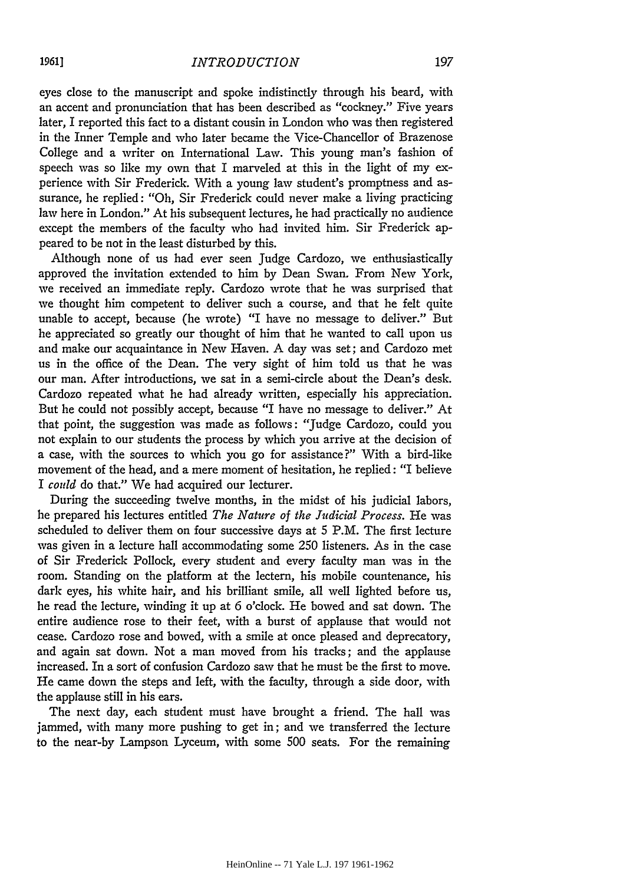eyes close to the manuscript and spoke indistinctly through his beard, with eyes close to the manuscript and spoke indistinctly through his beard, with an accent and pronunciation that has been described as "cockney." Five years an accent and pronunciation that has been described as "cockney." Five years later, I reported this fact to a distant cousin in London who was then registered later, I reported this fact to a distant cousin in London who was then registered in the Inner Temple and who later became the Vice-Chancellor of Brazenose in the Inner Temple and who later became the Vice-Chancellor of Brazenose College and a writer on International Law. This young man's fashion of College and a writer on International Law. This young man's fashion of speech was so like my own that I marveled at this in the light of my experience with Sir Frederick. With a young law student's promptness and as-perience with Sir Frederick. With a young law student's promptness and surance, he replied: "Oh, Sir Frederick could never make a living practicing surance, he replied: "Oh, Sir Frederick could never make a living practicing law here in London." At his subsequent lectures, he had practically no audience law here in London." At his subsequent lectures, he had practically no audience except the members of the faculty who had invited him. Sir Frederick ap-except the members of the faculty who had invited him. Sir Frederick appeared to be not in the least disturbed by this.

Although none of us had ever seen Judge Cardozo, we enthusiastically peared to be not in the least disturbed by this.Although none of us had ever seen Judge Cardozo, we enthusiastically approved the invitation extended to him by Dean Swan. From New York, we received an immediate reply. Cardozo wrote that he was surprised that we received an immediate reply. Cardozo wrote that he was surprised that we thought him competent to deliver such a course, and that he felt quite we thought him competent to deliver such a course, and that he felt unable to accept, because (he wrote) "I have no message to deliver." But unable to accept, because (he wrote) "I have no message to deliver." But he appreciated so greatly our thought of him that he wanted to call upon us he appreciated so greatly our thought of him that he wanted to call upon us and make our acquaintance in New Haven. A day was set; and Cardozo met and make our acquaintance in New Haven. A day was set; and Cardozo met us in the office of the Dean. The very sight of him told us that he was us in the office of the Dean. The very sight of him told us that he was our man. After introductions, we sat in a semi-circle about the Dean's desk. our man. After introductions, we sat in a semi-circle about the Dean's desk. Cardozo repeated what he had already written, especially his appreciation. Cardozo repeated what he had already written, especially his appreciation. But he could not possibly accept, because "I have no message to deliver." At But he could not possibly accept, because "I have no message to deliver." At that point, the suggestion was made as follows: "Judge Cardozo, could you that point, the suggestion was made as follows: "Judge Cardozo, could not explain to our students the process by which you arrive at the decision of a case, with the sources to which you go for assistance?" With a bird-like a case, with the sources to which you go for assistance?" With a bird-like movement of the head, and a mere moment of hesitation, he replied: "I believe movement of the head, and a mere moment of hesitation, he replied: "I believe *I could* do that." We had acquired our lecturer. I *could* do that." We had acquired our lecturer.

During the succeeding tvelve months, in the midst of his judicial labors, During the succeeding twelve months, in the midst of his judicial labors, he prepared his lectures entitled *The Nature of the Judicial Process*. He was scheduled to deliver them on four successive days at 5 P.M. The first lecture scheduled to deliver them on four successive days at 5 P.M. The first lecture was given in a lecture hall accommodating some 250 listeners. As in the case was given in a lecture hall accommodating some 250 listeners. As in the case of Sir Frederick Pollock, every student and every faculty man was in the of Sir Frederick Pollock, every student and every faculty man was in the room. Standing on the platform at the lectern, his mobile countenance, his room. Standing on the platform at the lectern, his mobile countenance, his dark eyes, his white hair, and his brilliant smile, all well lighted before us, dark eyes, his white hair, and his brilliant smile, all well lighted before us, he read the lecture, winding it up at 6 o'clock. He bowed and sat down. The he read the lecture, winding it up at 6 o'clock. He bowed and sat down. The entire audience rose to their feet, with a burst of applause that would not cease. Cardozo rose and bowed, with a smile at once pleased and deprecatory, cease. Cardozo rose and bowed, with a smile at once pleased and deprecatory, and again sat down. Not a man moved from his tracks; and the applause and again sat down. Not a man moved from his tracks; and the applause increased. In a sort of confusion Cardozo saw that he must be the first to move. increased. In a sort of confusion Cardozo saw that he must be the first to move. He came down the steps and left, with the faculty, through a side door, with He came down the steps and left, with the faculty, through a side door, the applause still in his ears. the applause still in his ears.

The next day, each student must have brought a friend. The hall was jammed, with many more pushing to get in; and we transferred the lecture jammed, with many more pushing to get in; and we transferred the lecture to the near-by Lampson Lyceum, with some **500** seats. For the remaining to the near-by Lampson Lyceum, with some 500 seats. For the remaining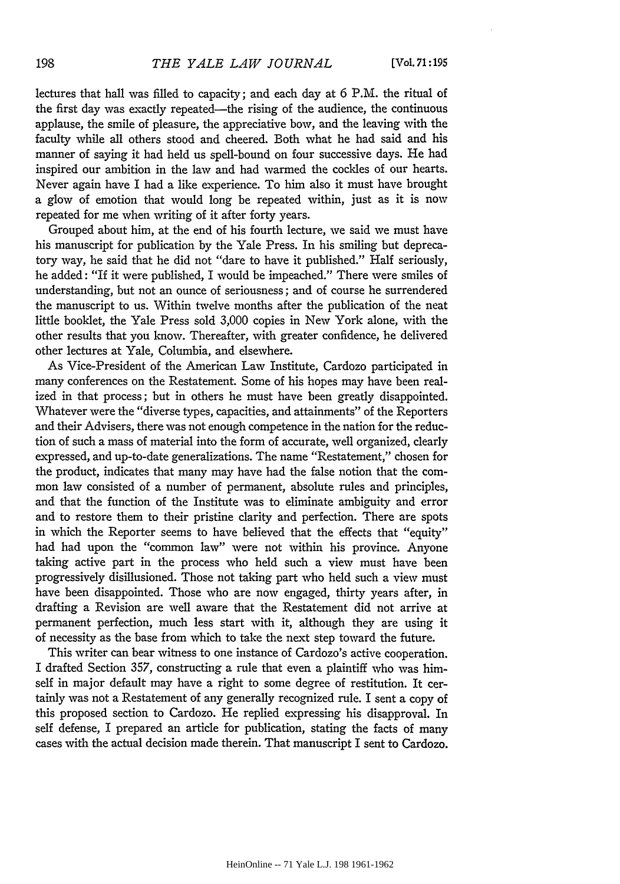lectures that hall was filled to capacity; and each day at 6 P.M. the ritual of 198 THE YALE LAW JOURNAL [Vol. 71:195]<br>lectures that hall was filled to capacity; and each day at 6 P.M. the ritual of<br>the first day was exactly repeated—the rising of the audience, the continuous applause, the smile of pleasure, the appreciative bow, and the leaving with the faculty while all others stood and cheered. Both what he had said and his manner of saying it had held us spell-bound on four successive days. He had inspired our ambition in the law and had warmed the cockles of our hearts. inspired our ambition in the law and had warmed the cockles of our hearts. Never again have I had a like experience. To him also it must have brought Never again have I had a like experience. To him also it must have brought a glow of emotion that would long be repeated within, just as it is now <sup>a</sup> glow of emotion that would long be repeated within, just as it is nowrepeated for me when writing of it after forty years. repeated for me when writing of it after forty years. applause, the smile of pleasure, the appreciative bow, and the leaving with the<br>faculty while all others stood and cheered. Both what he had said and his<br>manner of saying it had held us spell-bound on four successive days.

Grouped about him, at the end of his fourth lecture, we said we must have Grouped about him, at the end of his fourth lecture, we said we must have his manuscript for publication by the Yale Press. In his smiling but depreca-his manuscript for publication by the Yale Press. In his smiling but deprecatory way, he said that he did not "dare to have it published." Half seriously, tory way, he said that he did not "dare to have it published." Half seriously,<br>he added : "If it were published, I would be impeached." There were smiles of understanding, but not an ounce of seriousness; and of course he surrendered understanding, but not an ounce of seriousness; and of course he surrendered the manuscript to us. Within twelve months after the publication of the neat the manuscript to us. Within twelve months after the publication of the neat little booklet, the Yale Press sold 3,000 copies in New York alone, with the little booklet, the Yale Press sold 3,000 copies in New York alone, with the<br>other results that you know. Thereafter, with greater confidence, he delivered other lectures at Yale, Columbia, and elsewhere. other lectures at Yale, Columbia, and elsewhere.

As Vice-President of the American Law Institute, Cardozo participated in As Vice-President of the American Law Institute, Cardozo participated in many conferences on the Restatement. Some of his hopes may have been real-many conferences on the Restatement. Some of his hopes may have been realized in that process; but in others he must have been greatly disappointed. ized in that process; but in others he must have been greatly disappointed. Whatever were the "diverse types, capacities, and attainments" of the Reporters Whatever were the "diverse types, capacities, and attainments" of the Reporters<br>and their Advisers, there was not enough competence in the nation for the reduction of such a mass of material into the form of accurate, well organized, clearly tion of such a mass of material into the form of accurate, well organized, clearly expressed, and up-to-date generalizations. The name "Restatement," chosen for expressed, and up-to-date generalizations. The name "Restatement," chosen for the product, indicates that many may have had the false notion that the com-the product, indicates that many may have had the false notion that the common law consisted of a number of permanent, absolute rules and principles, mon law consisted of a number of permanent, absolute rules and principles, and that the function of the Institute was to eliminate ambiguity and error and that the function of the Institute was to eliminate ambiguity and error and to restore them to their pristine clarity and perfection. There are spots and to restore them to their pristine clarity and perfection. There are spots in which the Reporter seems to have believed that the effects that "equity" in which the Reporter seems to have believed that the effects that "equity" had had upon the "common law" were not within his province. Anyone had had upon the "common law" were not within his province. Anyone taking active part in the process who held such a view must have been taking active part in the process who held such a view must have been progressively disillusioned. Those not taking part who held such a view must progressively disillusioned. Those not taking part who held such a view must have been disappointed. Those who are now engaged, thirty years after, in have been disappointed. Those who are now engaged, thirty years after, in drafting a Revision are well aware that the Restatement did not arrive at drafting a Revision are well aware that the Restatement did not arrive at permanent perfection, much less start with it, although they are using it permanent perfection, much less start with it, although they are using it of necessity as the base from which to take the next step toward the future.

of necessity as the base from which to take the next step toward the future.<br>This writer can bear witness to one instance of Cardozo's active cooperation. I drafted Section 357, constructing a rule that even a plaintiff who was him-I drafted Section 357, constructing a rule that even a plaintiff who was himself in major default may have a right to some degree of restitution. It cer-self in major default may have a right to some degree of restitution. It certainly was not a Restatement of any generally recognized rule. I sent a copy of this proposed section to Cardozo. He replied expressing his disapproval. In this proposed section to Cardozo. He replied expressing his disapproval. In self defense, I prepared an article for publication, stating the facts of many self defense, I prepared an article for publication, stating the facts of cases with the actual decision made therein. That manuscript I sent to Cardozo. cases with the actual decision made therein. That manuscript I sent to Cardozo.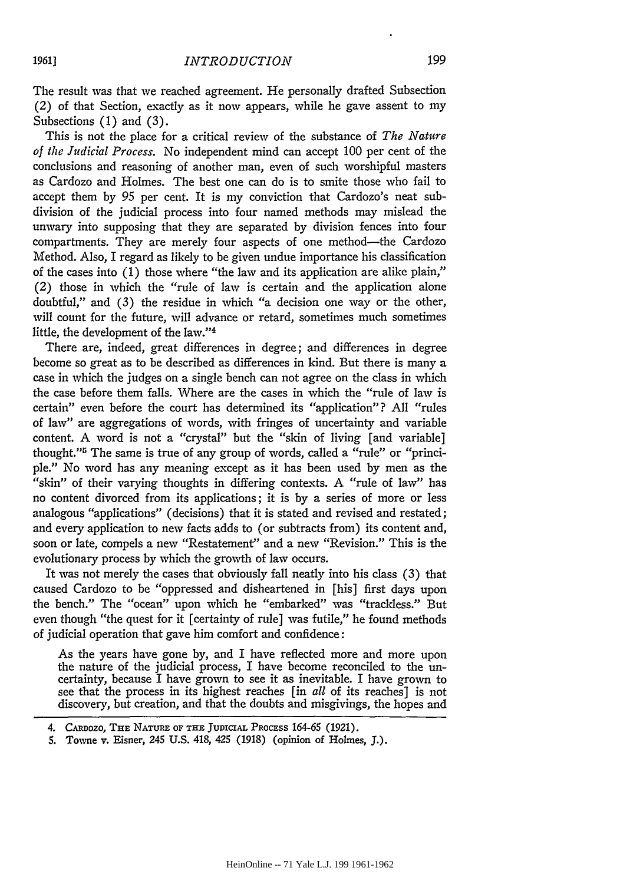The result was that we reached agreement. He personally drafted Subsection The result was that we reached agreement. He personally drafted Subsection (2) of that Section, exactly as it now appears, while he gave assent to my (2) of that Section, exactly as it now appears, while he gave assent to mySubsections (1) and (3). Subsections (1) and (3).

This is not the place for a critical review of the substance of *The Nature* This is not the place for a critical review of the substance of *The Nature of the Judicial Process.* No independent mind can accept 100 per cent of the *of the Judicial Process.* No independent mind can accept 100 per cent of the conclusions and reasoning of another man, even of such worshipful masters conclusions and reasoning of another man, even of such worshipful masters as Cardozo and Holmes. The best one can do is to smite those who fail to as Cardozo and Holmes. The best one can do is to smite those who fail to accept them by 95 per cent. It is my conviction that Cardozo's neat sub-accept them by 95 per cent. It is my conviction that Cardozo's neat subdivision of the judicial process into four named methods may mislead the division of the judicial process into four named methods may mislead the unwary into supposing that they are separated by division fences into four unwary into supposing that they are separated by division fences into four compartments. They are merely four aspects of one method-the Cardozo compartments. They are merely four aspects of one method—the Cardozo<br>Method. Also, I regard as likely to be given undue importance his classification of the cases into (1) those where "the law and its application are alike plain," of the cases into (1) those where "the law and its application are alike plain," (2) those in which the "rule of law is certain and the application alone doubtful," and (3) the residue in which "a decision one way or the other, will count for the future, will advance or retard, sometimes much sometimes little, the development of the law."<sup>4</sup> little, the development of the law."4 (2) those in which the "rule of law is certain and the application alone doubtful," and (3) the residue in which "a decision one way or the other, will count for the future, will advance or retard, sometimes much sometime

There are, indeed, great differences in degree; and differences in degree become so great as to be described as differences in kind. But there is many a case in which the judges on a single bench can not agree on the class in which the case before them falls. Where are the cases in which the "rule of law is the case before them falls. Where are the cases in which the "rule of law is certain" even before the court has determined its "application"? All "rules certain" even before the court has determined its "application"? All "rules of law" are aggregations of words, with fringes of uncertainty and variable of law" are aggregations of words, with fringes of uncertainty and variable content. A word is not a "crystal" but the "skin of living [and variable] content. A word is not a "crystal" but the "skin of living [and variable] thought."<sup>5</sup> The same is true of any group of words, called a "rule" or "principle." No word has any meaning except as it has been used by men as the "skin" of their varying thoughts in differing contexts. A "rule of law" has "skin" of their varying thoughts in differing contexts. A "rule of law" has no content divorced from its applications; it is by a series of more or less no content divorced from its applications; it is by a series of more or less analogous "applications" (decisions) that it is stated and revised and restated; analogous "applications" (decisions) that it is stated and revised and restated; and every application to new facts adds to (or subtracts from) its content and, and every application to new facts adds to (or subtracts from) its content and, soon or late, compels a new "Restatement" and a new "Revision." This is the soon or late, compels a new "Restatement" and a new "Revision." This is the evolutionary process by which the growth of law occurs. evolutionary process by which the growth of law occurs. There are, indeed, great differences in degree; and differences in degree<br>become so great as to be described as differences in kind. But there is many a<br>case in which the judges on a single bench can not agree on the class

It was not merely the cases that obviously fall neatly into his class (3) that It was not merely the cases that obviously fall neatly into his class (3) that caused Cardozo to be "oppressed and disheartened in [his] first days upon caused Cardozo to be "oppressed and disheartened in [his] first days upon the bench." The "ocean" upon which he "embarked" was "trackless." But the bench." The "ocean" upon which he "embarked" was "trackless." But even though "the quest for it [certainty of rule] was futile," he found methods<br>of judicial operation that gave him comfort and confidence: of judicial operation that gave him comfort and confidence:

As the years have gone by, and I have reflected more and more upon As the years have gone by, and I have reflected more and more upon the nature of the judicial process, I have become reconciled to the un-the nature of the judicial process, I have become reconciled to the uncertainty, because I have grown to see it as inevitable. I have grown to certainty, because I have grown to see it as inevitable. I have grown to see that the process in its highest reaches [in *all* of its reaches] is not see that the process in its highest reaches [in *all* of its reaches] is not discovery, but creation, and that the doubts and misgivings, the hopes and<br>4. CARDOZO, THE NATURE OF THE JUDICIAL PROCESS 164-65 (1921).

<sup>4.</sup> CARDozo, **THE** NATURE OF THE **JUDICIAL PROCESS** 164-65 (1921).

<sup>5.</sup> Towne v. Eisner, 245 U.S. 418, 425 (1918) (opinion of Holmes, J.). 5. Towne v. Eisner, 245 U.S. 418, 425 (1918) (opinion of Holmes, J.).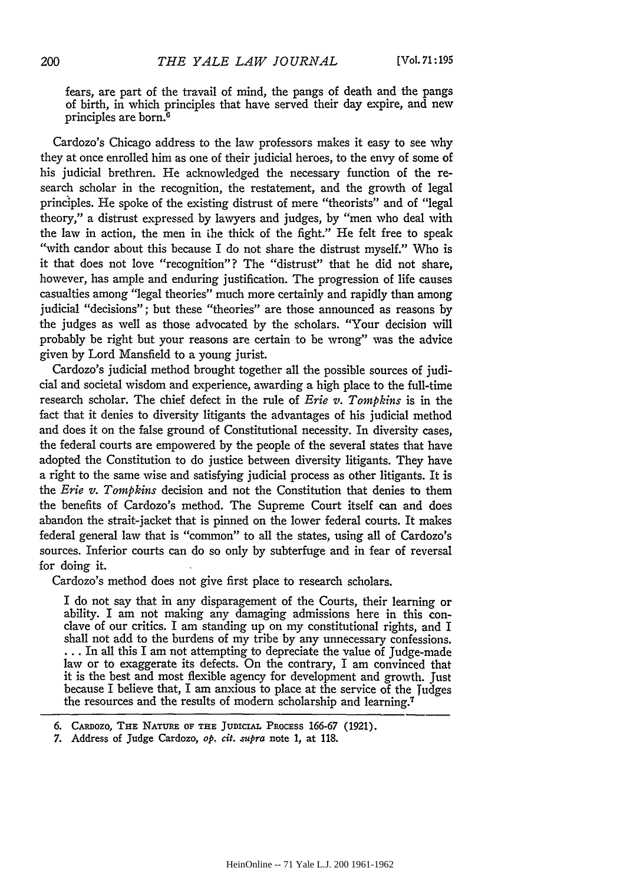200 *THE YALE LAW JOURNAL* [Vol. 71 : 195<br>fears, are part of the travail of mind, the pangs of death and the pangs of birth, in which principles that have served their day expire, and new principles are born.<sup>6</sup>

Cardozo's Chicago address to the law professors makes it easy to see why Cardozo's Chicago address to the law professors makes it easy to see they at once enrolled him as one of their judicial heroes, to the envy of some of they at once enrolled him as one of their judicial heroes, to the envy of some of his judicial brethren. He acknowledged the necessary function of the re-his judicial brethren. He acknowledged the necessary function of the research scholar in the recognition, the restatement, and the growth of legal search scholar in the recognition, the restatement, and the growth of legal principles. He spoke of the existing distrust of mere "theorists" and of "legal theory," a distrust expressed by lawyers and judges, by "men who deal with the law in action, the men in the thick of the fight." He felt free to speak<br>"with candor about this because I do not share the distrust myself." Who is it that does not love "recognition"? The "distrust" that he did not share, it that does not love "recognition"? The "distrust" that he did not share, however, has ample and enduring justification. The progression of life causes however, has ample and enduring justification. The progression of life causes casualties among "legal theories" much more certainly and rapidly than among casualties among "legal theories" much more certainly and rapidly than among judicial "decisions"; but these "theories" are those announced as reasons by the judges as well as those advocated by the scholars. "Your decision will the judges as well as those advocated by the scholars. "Your decision will probably be right but your reasons are certain to be wrong" was the advice probably be right but your reasons are certain to be wrong" was the advice given by Lord Mansfield to a young jurist. given by Lord Mansfield to a young jurist. the law in action, the men in the thick of the fight." He felt free to

Cardozo's judicial method brought together all the possible sources of judi-Cardozo's judicial method brought together all the possible sources of judicial and societal wisdom and experience, awarding a high place to the full-time cial and societal wisdom and experience, awarding a high place to the full-time research scholar. The chief defect in the rule of *Erie v. Tompkins* is in the research scholar. The chief defect in the rule of *Erie v. Tompkins* is in the fact that it denies to diversity litigants the advantages of his judicial method fact that it denies to diversity litigants the advantages of his judicial method and does it on the false ground of Constitutional necessity. In diversity cases, and does it on the false ground of Constitutional necessity. In diversity cases, the federal courts are empowered by the people of the several states that have adopted the Constitution to do justice between diversity litigants. They have adopted the Constitution to do justice between diversity litigants. They have a right to the same wise and satisfying judicial process as other litigants. It is a right to the same wise and satisfying judicial process as other litigants. It is the *Erie v. Tompkins* decision and not the Constitution that denies to them the *Erie v. Tompkins* decision and not the Constitution that denies to them the benefits of Cardozo's method. The Supreme Court itself can and does the benefits of Cardozo's method. The Supreme Court itself can and does abandon the strait-jacket that is pinned on the lower federal courts. It makes abandon the strait-jacket that is pinned on the lower federal courts. It makes federal general law that is "common" to all the states, using all of Cardozo's federal general law that is "common" to all the states, using all of Cardozo's sources. Inferior courts can do so only by subterfuge and in fear of reversal sources. Inferior courts can do so only by subterfuge and in fear of reversal for doing it. for doing it.

Cardozo's method does not give first place to research scholars. Cardozo's method does not give first place to research scholars.

I do not say that in any disparagement of the Courts, their learning or I do not say that in any disparagement of the Courts, their learning or ability. I am not making any damaging admissions here in this con-ability. I am not making any damaging admissions here in this conclave of our critics. I am standing up on my constitutional rights, and I clave of our critics. I am standing up on my constitutional rights, and I shall not add to the burdens of my tribe by any unnecessary confessions.<br>... In all this I am not attempting to depreciate the value of Judge-made law or to exaggerate its defects. On the contrary, I am convinced that law or to exaggerate its defects. On the contrary, I am convinced that it is the best and most flexible agency for development and growth. Just it is the best and most flexible agency for development and growth. Just because I believe that, I am anxious to place at the service of the Judges because I believe that, I am anxious to place at the service of the Tudges the resources and the results of modern scholarship and learning.<sup>7</sup> . . . In all this I am not attempting to depreciate the value of Judge-made

**<sup>6.</sup>** CARDozo, **THE** NATURE OF **THE JUDICIAL PROCESS** 166-67 (1921). 6. CARDOZO, THE NATURE OF THE JUDICIAL PROCESS 166-67 (1921).

<sup>7.</sup> Address of Judge Cardozo, *op. cit. supra* note 1, at 118. 7. Address of Judge Cardozo, *op. cit. supra* note **1,** at 118.